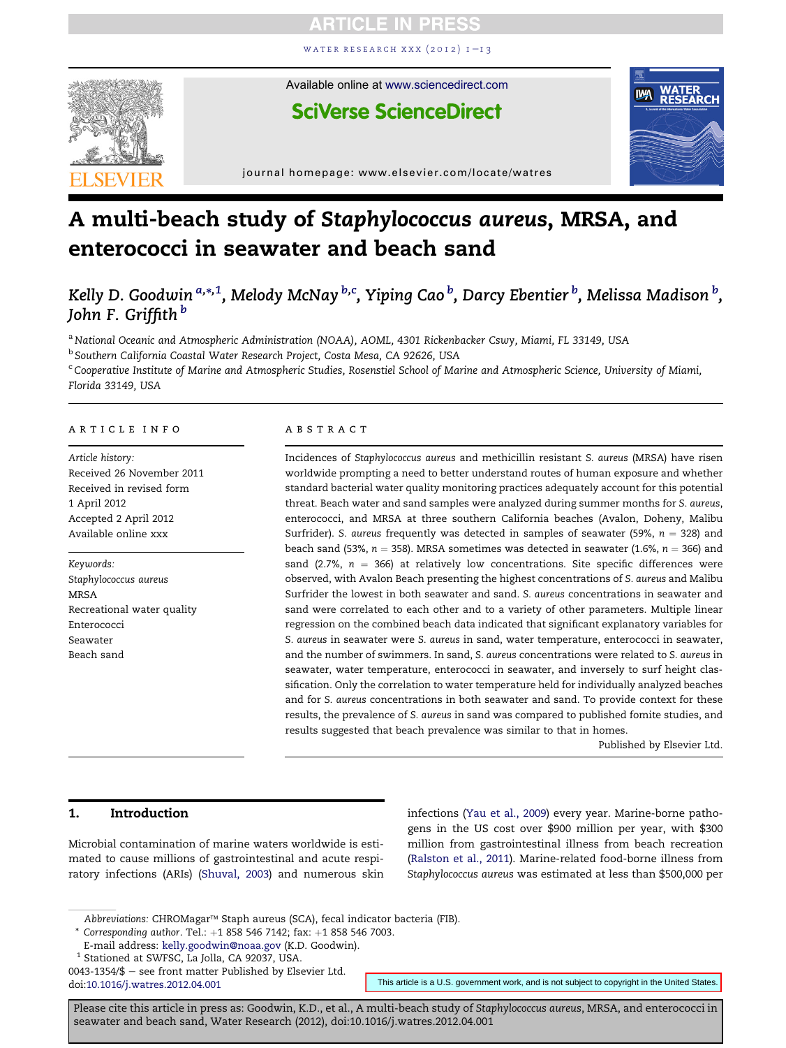WATER RESEARCH XXX  $(2012)$  I-13



Available online at [www.sciencedirect.com](www.sciencedirect.com/science/journal/00431354)

# **SciVerse ScienceDirect**



journal homepage:<www.elsevier.com/locate/watres>

# A multi-beach study of Staphylococcus aureus, MRSA, and enterococci in seawater and beach sand

Kelly D. Goodwin  $^{a,*,1}$ , Melody McNay  $^{b,c}$ , Yiping Cao  $^b$ , Darcy Ebentier  $^b$ , Melissa Madison  $^b$ , John F. Griffith<sup>b</sup>

a National Oceanic and Atmospheric Administration (NOAA), AOML, 4301 Rickenbacker Cswy, Miami, FL 33149, USA

<sup>b</sup> Southern California Coastal Water Research Project, Costa Mesa, CA 92626, USA

<sup>c</sup> Cooperative Institute of Marine and Atmospheric Studies, Rosenstiel School of Marine and Atmospheric Science, University of Miami, Florida 33149, USA

#### article info

Article history: Received 26 November 2011 Received in revised form 1 April 2012 Accepted 2 April 2012 Available online xxx

Keywords: Staphylococcus aureus MRSA Recreational water quality Enterococci Seawater Beach sand

#### **ABSTRACT**

Incidences of Staphylococcus aureus and methicillin resistant S. aureus (MRSA) have risen worldwide prompting a need to better understand routes of human exposure and whether standard bacterial water quality monitoring practices adequately account for this potential threat. Beach water and sand samples were analyzed during summer months for S. aureus, enterococci, and MRSA at three southern California beaches (Avalon, Doheny, Malibu Surfrider). S. aureus frequently was detected in samples of seawater (59%,  $n = 328$ ) and beach sand (53%,  $n = 358$ ). MRSA sometimes was detected in seawater (1.6%,  $n = 366$ ) and sand (2.7%,  $n = 366$ ) at relatively low concentrations. Site specific differences were observed, with Avalon Beach presenting the highest concentrations of S. aureus and Malibu Surfrider the lowest in both seawater and sand. S. aureus concentrations in seawater and sand were correlated to each other and to a variety of other parameters. Multiple linear regression on the combined beach data indicated that significant explanatory variables for S. aureus in seawater were S. aureus in sand, water temperature, enterococci in seawater, and the number of swimmers. In sand, S. aureus concentrations were related to S. aureus in seawater, water temperature, enterococci in seawater, and inversely to surf height classification. Only the correlation to water temperature held for individually analyzed beaches and for S. aureus concentrations in both seawater and sand. To provide context for these results, the prevalence of S. aureus in sand was compared to published fomite studies, and results suggested that beach prevalence was similar to that in homes.

Published by Elsevier Ltd.

# 1. Introduction

Microbial contamination of marine waters worldwide is estimated to cause millions of gastrointestinal and acute respiratory infections (ARIs) (Shuval, 2003) and numerous skin infections (Yau et al., 2009) every year. Marine-borne pathogens in the US cost over \$900 million per year, with \$300 million from gastrointestinal illness from beach recreation (Ralston et al., 2011). Marine-related food-borne illness from Staphylococcus aureus was estimated at less than \$500,000 per

Abbreviations: CHROMagar™ Staph aureus (SCA), fecal indicator bacteria (FIB).

 $*$  Corresponding author. Tel.:  $+1$  858 546 7142; fax:  $+1$  858 546 7003.

<sup>1</sup> Stationed at SWFSC, La Jolla, CA 92037, USA.

doi[:10.1016/j.watres.2012.04.001](http://dx.doi.org/10.1016/j.watres.2012.04.001) This article is a U.S. government work, and is not subject to copyright in the United States.

E-mail address: [kelly.goodwin@noaa.gov](mailto:kelly.goodwin@noaa.gov) (K.D. Goodwin).

<sup>0043-1354/</sup> $$$  – see front matter Published by Elsevier Ltd.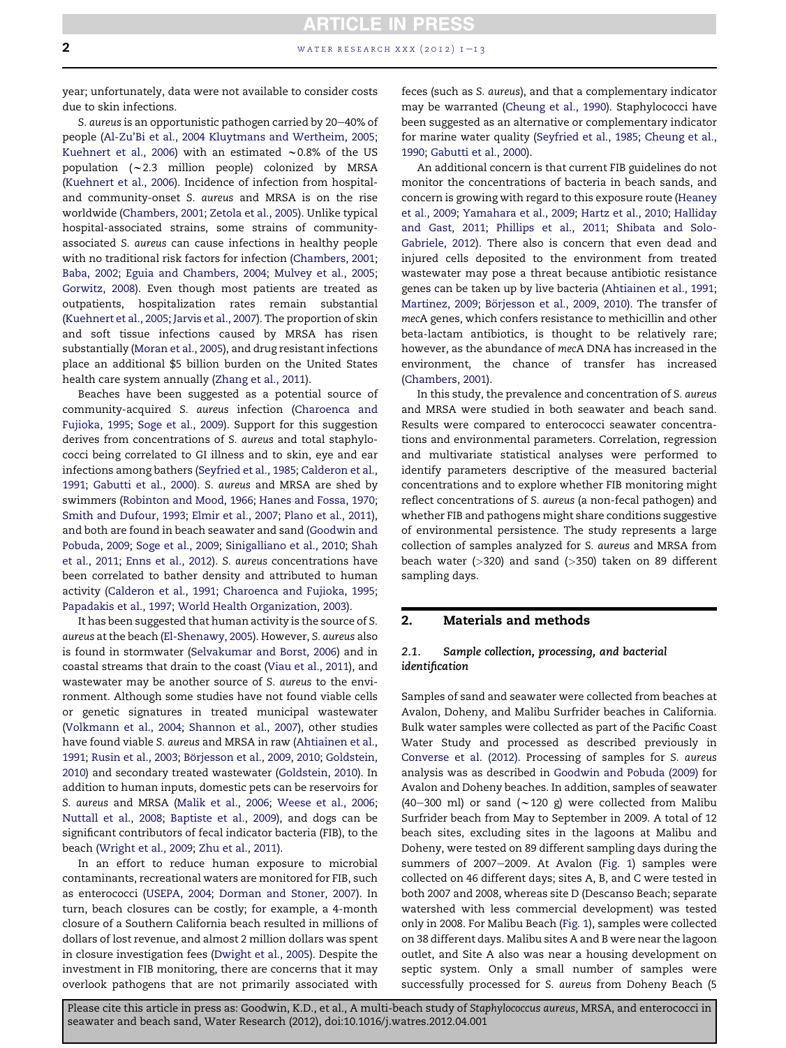# **ARTICLE IN PRESS 2** water research xxx (2012)  $1 - i$  3

year; unfortunately, data were not available to consider costs due to skin infections.

S. aureus is an opportunistic pathogen carried by 20–40% of people (Al-Zu'Bi et al., 2004 Kluytmans and Wertheim, 2005; Kuehnert et al., 2006) with an estimated  $\sim$  0.8% of the US population  $({\sim}2.3$  million people) colonized by MRSA (Kuehnert et al., 2006). Incidence of infection from hospitaland community-onset S. aureus and MRSA is on the rise worldwide (Chambers, 2001; Zetola et al., 2005). Unlike typical hospital-associated strains, some strains of communityassociated S. aureus can cause infections in healthy people with no traditional risk factors for infection (Chambers, 2001; Baba, 2002; Eguia and Chambers, 2004; Mulvey et al., 2005; Gorwitz, 2008). Even though most patients are treated as outpatients, hospitalization rates remain substantial (Kuehnert et al., 2005; Jarvis et al., 2007). The proportion of skin and soft tissue infections caused by MRSA has risen substantially (Moran et al., 2005), and drug resistant infections place an additional \$5 billion burden on the United States health care system annually (Zhang et al., 2011).

Beaches have been suggested as a potential source of community-acquired S. aureus infection (Charoenca and Fujioka, 1995; Soge et al., 2009). Support for this suggestion derives from concentrations of S. aureus and total staphylococci being correlated to GI illness and to skin, eye and ear infections among bathers (Seyfried et al., 1985; Calderon et al., 1991; Gabutti et al., 2000). S. aureus and MRSA are shed by swimmers (Robinton and Mood, 1966; Hanes and Fossa, 1970; Smith and Dufour, 1993; Elmir et al., 2007; Plano et al., 2011), and both are found in beach seawater and sand (Goodwin and Pobuda, 2009; Soge et al., 2009; Sinigalliano et al., 2010; Shah et al., 2011; Enns et al., 2012). S. aureus concentrations have been correlated to bather density and attributed to human activity (Calderon et al., 1991; Charoenca and Fujioka, 1995; Papadakis et al., 1997; World Health Organization, 2003).

It has been suggested that human activity is the source of S. aureus at the beach (El-Shenawy, 2005). However, S. aureus also is found in stormwater (Selvakumar and Borst, 2006) and in coastal streams that drain to the coast (Viau et al., 2011), and wastewater may be another source of S. aureus to the environment. Although some studies have not found viable cells or genetic signatures in treated municipal wastewater (Volkmann et al., 2004; Shannon et al., 2007), other studies have found viable S. aureus and MRSA in raw (Ahtiainen et al., 1991; Rusin et al., 2003; Börjesson et al., 2009, 2010; Goldstein, 2010) and secondary treated wastewater (Goldstein, 2010). In addition to human inputs, domestic pets can be reservoirs for S. aureus and MRSA (Malik et al., 2006; Weese et al., 2006; Nuttall et al., 2008; Baptiste et al., 2009), and dogs can be significant contributors of fecal indicator bacteria (FIB), to the beach (Wright et al., 2009; Zhu et al., 2011).

In an effort to reduce human exposure to microbial contaminants, recreational waters are monitored for FIB, such as enterococci (USEPA, 2004; Dorman and Stoner, 2007). In turn, beach closures can be costly; for example, a 4-month closure of a Southern California beach resulted in millions of dollars of lost revenue, and almost 2 million dollars was spent in closure investigation fees (Dwight et al., 2005). Despite the investment in FIB monitoring, there are concerns that it may overlook pathogens that are not primarily associated with feces (such as S. aureus), and that a complementary indicator may be warranted (Cheung et al., 1990). Staphylococci have been suggested as an alternative or complementary indicator for marine water quality (Seyfried et al., 1985; Cheung et al., 1990; Gabutti et al., 2000).

An additional concern is that current FIB guidelines do not monitor the concentrations of bacteria in beach sands, and concern is growing with regard to this exposure route (Heaney et al., 2009; Yamahara et al., 2009; Hartz et al., 2010; Halliday and Gast, 2011; Phillips et al., 2011; Shibata and Solo-Gabriele, 2012). There also is concern that even dead and injured cells deposited to the environment from treated wastewater may pose a threat because antibiotic resistance genes can be taken up by live bacteria (Ahtiainen et al., 1991; Martinez, 2009; Börjesson et al., 2009, 2010). The transfer of mecA genes, which confers resistance to methicillin and other beta-lactam antibiotics, is thought to be relatively rare; however, as the abundance of mecA DNA has increased in the environment, the chance of transfer has increased (Chambers, 2001).

In this study, the prevalence and concentration of S. aureus and MRSA were studied in both seawater and beach sand. Results were compared to enterococci seawater concentrations and environmental parameters. Correlation, regression and multivariate statistical analyses were performed to identify parameters descriptive of the measured bacterial concentrations and to explore whether FIB monitoring might reflect concentrations of S. aureus (a non-fecal pathogen) and whether FIB and pathogens might share conditions suggestive of environmental persistence. The study represents a large collection of samples analyzed for S. aureus and MRSA from beach water  $(>320)$  and sand  $(>350)$  taken on 89 different sampling days.

# 2. Materials and methods

# 2.1. Sample collection, processing, and bacterial identification

Samples of sand and seawater were collected from beaches at Avalon, Doheny, and Malibu Surfrider beaches in California. Bulk water samples were collected as part of the Pacific Coast Water Study and processed as described previously in Converse et al. (2012). Processing of samples for S. aureus analysis was as described in Goodwin and Pobuda (2009) for Avalon and Doheny beaches. In addition, samples of seawater (40-300 ml) or sand ( $\sim$ 120 g) were collected from Malibu Surfrider beach from May to September in 2009. A total of 12 beach sites, excluding sites in the lagoons at Malibu and Doheny, were tested on 89 different sampling days during the summers of 2007-2009. At Avalon (Fig. 1) samples were collected on 46 different days; sites A, B, and C were tested in both 2007 and 2008, whereas site D (Descanso Beach; separate watershed with less commercial development) was tested only in 2008. For Malibu Beach (Fig. 1), samples were collected on 38 different days. Malibu sites A and B were near the lagoon outlet, and Site A also was near a housing development on septic system. Only a small number of samples were successfully processed for S. aureus from Doheny Beach (5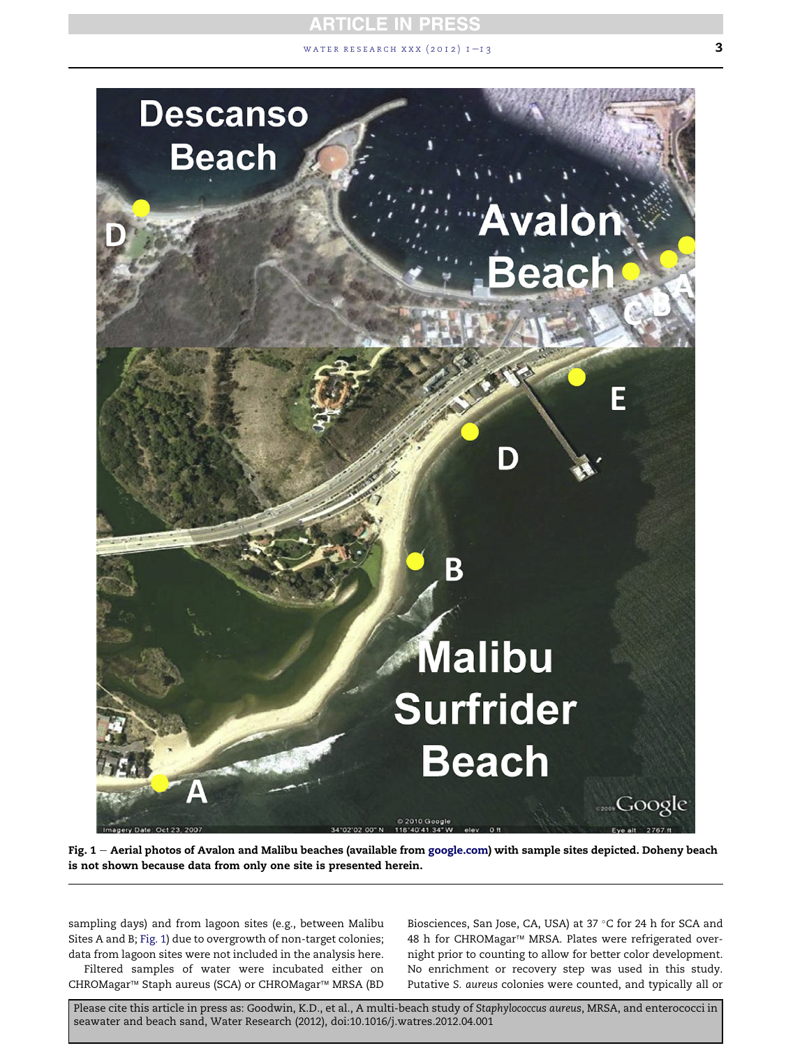# **RTICLE IN PRESS** WATER RESEARCH XXX  $(2012)$   $1-13$  3



Fig. 1 - Aerial photos of Avalon and Malibu beaches (available from [google.com](http://google.com)) with sample sites depicted. Doheny beach is not shown because data from only one site is presented herein.

sampling days) and from lagoon sites (e.g., between Malibu Sites A and B; Fig. 1) due to overgrowth of non-target colonies; data from lagoon sites were not included in the analysis here.

Filtered samples of water were incubated either on CHROMagar<sup>™</sup> Staph aureus (SCA) or CHROMagar<sup>™</sup> MRSA (BD

Biosciences, San Jose, CA, USA) at 37 °C for 24 h for SCA and 48 h for CHROMagar™ MRSA. Plates were refrigerated overnight prior to counting to allow for better color development. No enrichment or recovery step was used in this study. Putative S. aureus colonies were counted, and typically all or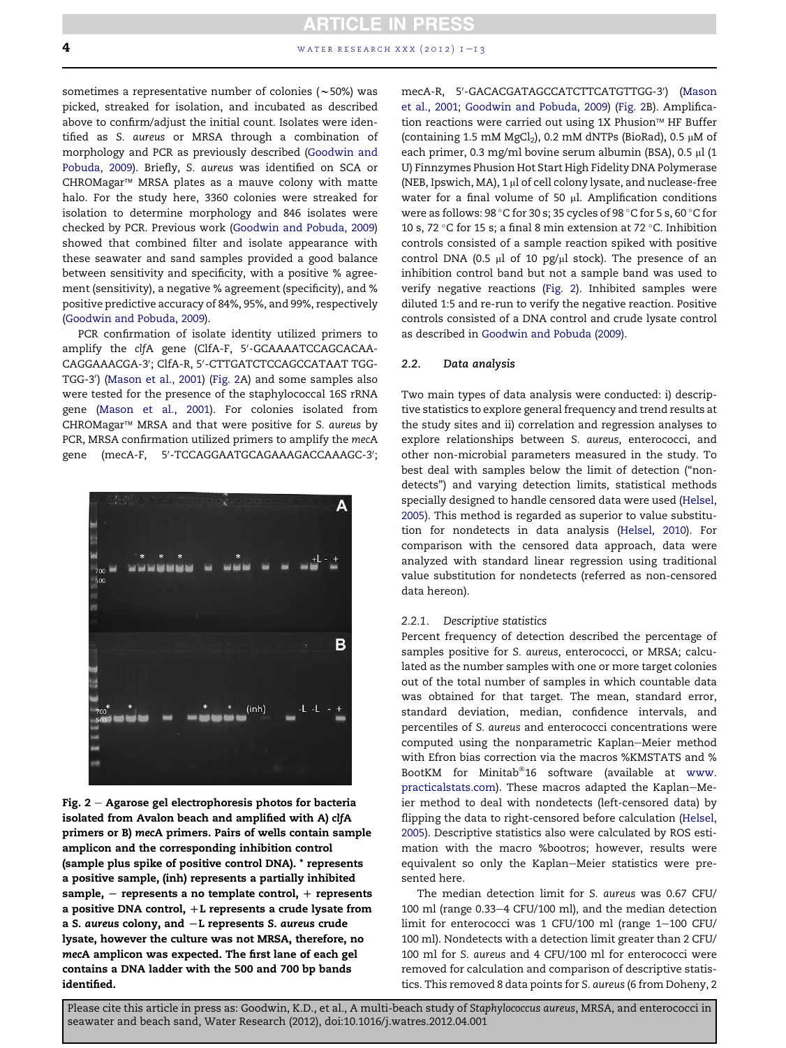sometimes a representative number of colonies ( $\sim$ 50%) was picked, streaked for isolation, and incubated as described above to confirm/adjust the initial count. Isolates were identified as S. aureus or MRSA through a combination of morphology and PCR as previously described (Goodwin and Pobuda, 2009). Briefly, S. aureus was identified on SCA or CHROMagar<sup>™</sup> MRSA plates as a mauve colony with matte halo. For the study here, 3360 colonies were streaked for isolation to determine morphology and 846 isolates were checked by PCR. Previous work (Goodwin and Pobuda, 2009) showed that combined filter and isolate appearance with these seawater and sand samples provided a good balance between sensitivity and specificity, with a positive % agreement (sensitivity), a negative % agreement (specificity), and % positive predictive accuracy of 84%, 95%, and 99%, respectively (Goodwin and Pobuda, 2009).

PCR confirmation of isolate identity utilized primers to amplify the clfA gene (ClfA-F, 5'-GCAAAATCCAGCACAA-CAGGAAACGA-3′; ClfA-R, 5′-CTTGATCTCCAGCCATAAT TGG-TGG-3<sup>0</sup> ) (Mason et al., 2001) (Fig. 2A) and some samples also were tested for the presence of the staphylococcal 16S rRNA gene (Mason et al., 2001). For colonies isolated from CHROMagar<sup>™</sup> MRSA and that were positive for S. aureus by PCR, MRSA confirmation utilized primers to amplify the mecA gene (mecA-F, 5′-TCCAGGAATGCAGAAAGACCAAAGC-3′;



Fig.  $2 -$  Agarose gel electrophoresis photos for bacteria isolated from Avalon beach and amplified with A) clfA primers or B) mecA primers. Pairs of wells contain sample amplicon and the corresponding inhibition control (sample plus spike of positive control DNA). \* represents a positive sample, (inh) represents a partially inhibited sample,  $-$  represents a no template control,  $+$  represents a positive DNA control,  $+L$  represents a crude lysate from a S. aureus colony, and  $-L$  represents S. aureus crude lysate, however the culture was not MRSA, therefore, no mecA amplicon was expected. The first lane of each gel contains a DNA ladder with the 500 and 700 bp bands identified.

mecA-R, 5′-GACACGATAGCCATCTTCATGTTGG-3′) (Mason et al., 2001; Goodwin and Pobuda, 2009) (Fig. 2B). Amplification reactions were carried out using 1X Phusion<sup> $M$ </sup> HF Buffer (containing 1.5 mM MgCl<sub>2</sub>), 0.2 mM dNTPs (BioRad), 0.5  $\mu$ M of each primer, 0.3 mg/ml bovine serum albumin (BSA), 0.5  $\mu$ l (1 U) Finnzymes Phusion Hot Start High Fidelity DNA Polymerase (NEB, Ipswich, MA), 1  $\mu$ l of cell colony lysate, and nuclease-free water for a final volume of 50  $\mu$ l. Amplification conditions were as follows: 98  $^{\circ}$ C for 30 s; 35 cycles of 98  $^{\circ}$ C for 5 s, 60  $^{\circ}$ C for 10 s, 72  $\degree$ C for 15 s; a final 8 min extension at 72  $\degree$ C. Inhibition controls consisted of a sample reaction spiked with positive control DNA (0.5  $\mu$ l of 10 pg/ $\mu$ l stock). The presence of an inhibition control band but not a sample band was used to verify negative reactions (Fig. 2). Inhibited samples were diluted 1:5 and re-run to verify the negative reaction. Positive controls consisted of a DNA control and crude lysate control as described in Goodwin and Pobuda (2009).

### 2.2. Data analysis

Two main types of data analysis were conducted: i) descriptive statistics to explore general frequency and trend results at the study sites and ii) correlation and regression analyses to explore relationships between S. aureus, enterococci, and other non-microbial parameters measured in the study. To best deal with samples below the limit of detection ("nondetects") and varying detection limits, statistical methods specially designed to handle censored data were used (Helsel, 2005). This method is regarded as superior to value substitution for nondetects in data analysis (Helsel, 2010). For comparison with the censored data approach, data were analyzed with standard linear regression using traditional value substitution for nondetects (referred as non-censored data hereon).

#### 2.2.1. Descriptive statistics

Percent frequency of detection described the percentage of samples positive for S. aureus, enterococci, or MRSA; calculated as the number samples with one or more target colonies out of the total number of samples in which countable data was obtained for that target. The mean, standard error, standard deviation, median, confidence intervals, and percentiles of S. aureus and enterococci concentrations were computed using the nonparametric Kaplan-Meier method with Efron bias correction via the macros %KMSTATS and % BootKM for Minitab®16 software (available at [www.](http://www.practicalstats.com) [practicalstats.com\)](http://www.practicalstats.com). These macros adapted the Kaplan-Meier method to deal with nondetects (left-censored data) by flipping the data to right-censored before calculation (Helsel, 2005). Descriptive statistics also were calculated by ROS estimation with the macro %bootros; however, results were equivalent so only the Kaplan-Meier statistics were presented here.

The median detection limit for S. aureus was 0.67 CFU/ 100 ml (range 0.33-4 CFU/100 ml), and the median detection limit for enterococci was 1 CFU/100 ml (range  $1-100$  CFU/ 100 ml). Nondetects with a detection limit greater than 2 CFU/ 100 ml for S. aureus and 4 CFU/100 ml for enterococci were removed for calculation and comparison of descriptive statistics. This removed 8 data points for S. aureus (6 from Doheny, 2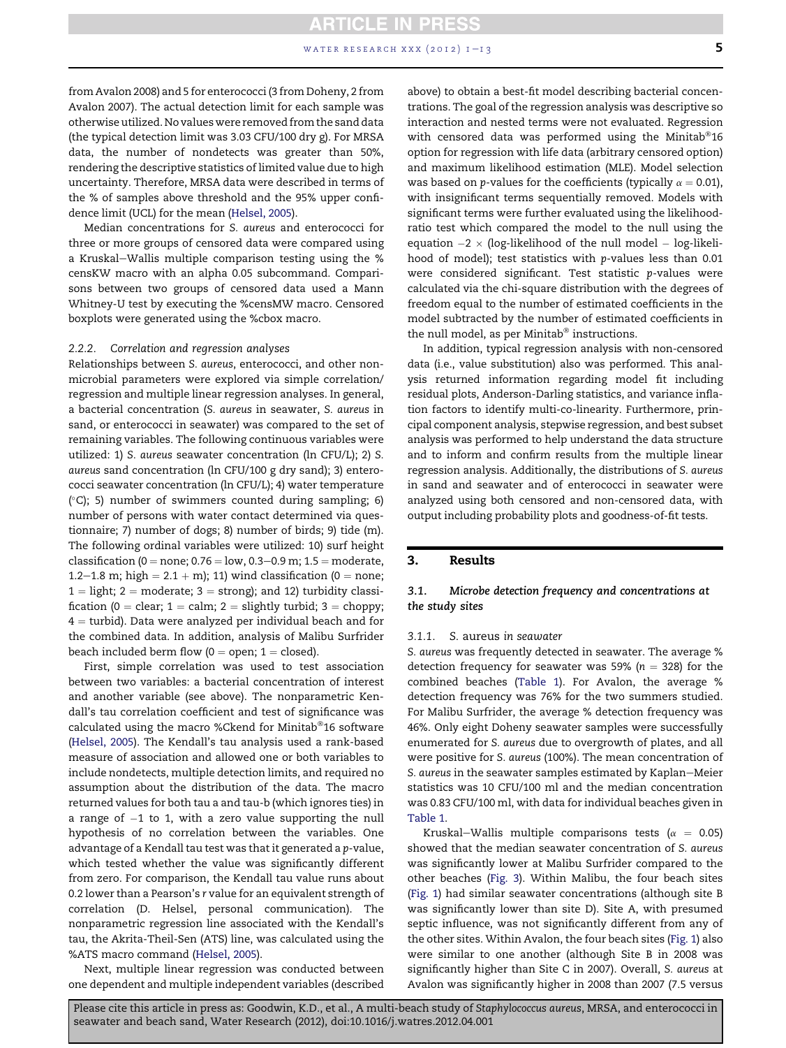# **ARTICLE IN PRESS** water research xxx (2012)  $1 - 13$  5

from Avalon 2008) and 5 for enterococci (3 from Doheny, 2 from Avalon 2007). The actual detection limit for each sample was otherwise utilized. No values were removed from the sand data (the typical detection limit was 3.03 CFU/100 dry g). For MRSA data, the number of nondetects was greater than 50%, rendering the descriptive statistics of limited value due to high uncertainty. Therefore, MRSA data were described in terms of the % of samples above threshold and the 95% upper confidence limit (UCL) for the mean (Helsel, 2005).

Median concentrations for S. aureus and enterococci for three or more groups of censored data were compared using a Kruskal-Wallis multiple comparison testing using the % censKW macro with an alpha 0.05 subcommand. Comparisons between two groups of censored data used a Mann Whitney-U test by executing the %censMW macro. Censored boxplots were generated using the %cbox macro.

#### 2.2.2. Correlation and regression analyses

Relationships between S. aureus, enterococci, and other nonmicrobial parameters were explored via simple correlation/ regression and multiple linear regression analyses. In general, a bacterial concentration (S. aureus in seawater, S. aureus in sand, or enterococci in seawater) was compared to the set of remaining variables. The following continuous variables were utilized: 1) S. aureus seawater concentration (ln CFU/L); 2) S. aureus sand concentration (ln CFU/100 g dry sand); 3) enterococci seawater concentration (ln CFU/L); 4) water temperature ( -C); 5) number of swimmers counted during sampling; 6) number of persons with water contact determined via questionnaire; 7) number of dogs; 8) number of birds; 9) tide (m). The following ordinal variables were utilized: 10) surf height classification ( $0 =$  none;  $0.76 =$ low,  $0.3 - 0.9$  m;  $1.5 =$  moderate, 1.2–1.8 m; high =  $2.1 + m$ ); 11) wind classification (0 = none;  $1 =$  light; 2 = moderate; 3 = strong); and 12) turbidity classification (0 = clear;  $1 =$  calm; 2 = slightly turbid; 3 = choppy;  $4 =$  turbid). Data were analyzed per individual beach and for the combined data. In addition, analysis of Malibu Surfrider beach included berm flow  $(0 =$  open;  $1 =$  closed).

First, simple correlation was used to test association between two variables: a bacterial concentration of interest and another variable (see above). The nonparametric Kendall's tau correlation coefficient and test of significance was calculated using the macro %Ckend for Minitab®16 software (Helsel, 2005). The Kendall's tau analysis used a rank-based measure of association and allowed one or both variables to include nondetects, multiple detection limits, and required no assumption about the distribution of the data. The macro returned values for both tau a and tau-b (which ignores ties) in a range of  $-1$  to 1, with a zero value supporting the null hypothesis of no correlation between the variables. One advantage of a Kendall tau test was that it generated a p-value, which tested whether the value was significantly different from zero. For comparison, the Kendall tau value runs about 0.2 lower than a Pearson's r value for an equivalent strength of correlation (D. Helsel, personal communication). The nonparametric regression line associated with the Kendall's tau, the Akrita-Theil-Sen (ATS) line, was calculated using the %ATS macro command (Helsel, 2005).

Next, multiple linear regression was conducted between one dependent and multiple independent variables (described

above) to obtain a best-fit model describing bacterial concentrations. The goal of the regression analysis was descriptive so interaction and nested terms were not evaluated. Regression with censored data was performed using the Minitab $^{\circ}$ 16 option for regression with life data (arbitrary censored option) and maximum likelihood estimation (MLE). Model selection was based on *p*-values for the coefficients (typically  $\alpha = 0.01$ ), with insignificant terms sequentially removed. Models with significant terms were further evaluated using the likelihoodratio test which compared the model to the null using the equation  $-2 \times$  (log-likelihood of the null model  $-$  log-likelihood of model); test statistics with p-values less than 0.01 were considered significant. Test statistic p-values were calculated via the chi-square distribution with the degrees of freedom equal to the number of estimated coefficients in the model subtracted by the number of estimated coefficients in the null model, as per Minitab $^{\circledR}$  instructions.

In addition, typical regression analysis with non-censored data (i.e., value substitution) also was performed. This analysis returned information regarding model fit including residual plots, Anderson-Darling statistics, and variance inflation factors to identify multi-co-linearity. Furthermore, principal component analysis, stepwise regression, and best subset analysis was performed to help understand the data structure and to inform and confirm results from the multiple linear regression analysis. Additionally, the distributions of S. aureus in sand and seawater and of enterococci in seawater were analyzed using both censored and non-censored data, with output including probability plots and goodness-of-fit tests.

### 3. Results

### 3.1. Microbe detection frequency and concentrations at the study sites

#### 3.1.1. S. aureus in seawater

S. aureus was frequently detected in seawater. The average % detection frequency for seawater was 59% ( $n = 328$ ) for the combined beaches (Table 1). For Avalon, the average % detection frequency was 76% for the two summers studied. For Malibu Surfrider, the average % detection frequency was 46%. Only eight Doheny seawater samples were successfully enumerated for S. aureus due to overgrowth of plates, and all were positive for S. aureus (100%). The mean concentration of S. aureus in the seawater samples estimated by Kaplan-Meier statistics was 10 CFU/100 ml and the median concentration was 0.83 CFU/100 ml, with data for individual beaches given in Table 1.

Kruskal–Wallis multiple comparisons tests ( $\alpha = 0.05$ ) showed that the median seawater concentration of S. aureus was significantly lower at Malibu Surfrider compared to the other beaches (Fig. 3). Within Malibu, the four beach sites (Fig. 1) had similar seawater concentrations (although site B was significantly lower than site D). Site A, with presumed septic influence, was not significantly different from any of the other sites. Within Avalon, the four beach sites (Fig. 1) also were similar to one another (although Site B in 2008 was significantly higher than Site C in 2007). Overall, S. aureus at Avalon was significantly higher in 2008 than 2007 (7.5 versus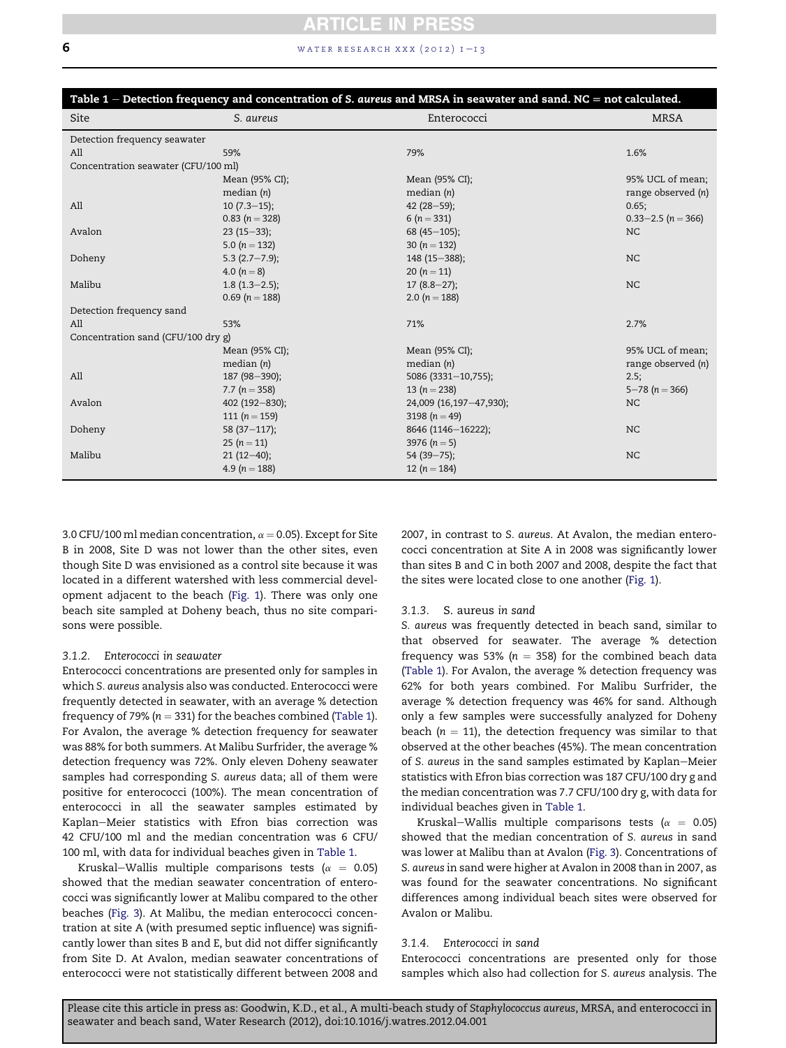# 6 **water research xxx** (2012)  $1 - 13$

| Table $1$ – Detection frequency and concentration of S. aureus and MRSA in seawater and sand. NC = not calculated. |                    |                         |                        |  |
|--------------------------------------------------------------------------------------------------------------------|--------------------|-------------------------|------------------------|--|
| Site                                                                                                               | S. aureus          | Enterococci             | <b>MRSA</b>            |  |
| Detection frequency seawater                                                                                       |                    |                         |                        |  |
| All                                                                                                                | 59%                | 79%                     | 1.6%                   |  |
| Concentration seawater (CFU/100 ml)                                                                                |                    |                         |                        |  |
|                                                                                                                    | Mean (95% CI);     | Mean (95% CI);          | 95% UCL of mean;       |  |
|                                                                                                                    | median $(n)$       | median $(n)$            | range observed (n)     |  |
| All                                                                                                                | $10(7.3-15);$      | 42 $(28-59)$ ;          | 0.65;                  |  |
|                                                                                                                    | $0.83(n=328)$      | 6 $(n = 331)$           | $0.33 - 2.5$ (n = 366) |  |
| Avalon                                                                                                             | $23(15-33);$       | 68 (45 $-105$ );        | NC                     |  |
|                                                                                                                    | 5.0 $(n = 132)$    | 30 $(n = 132)$          |                        |  |
| Doheny                                                                                                             | $5.3$ (2.7-7.9);   | 148 (15 - 388);         | NC                     |  |
|                                                                                                                    | 4.0 $(n = 8)$      | 20 $(n = 11)$           |                        |  |
| Malibu                                                                                                             | $1.8(1.3-2.5);$    | $17(8.8-27);$           | NC                     |  |
|                                                                                                                    | 0.69 ( $n = 188$ ) | 2.0 $(n = 188)$         |                        |  |
| Detection frequency sand                                                                                           |                    |                         |                        |  |
| All                                                                                                                | 53%                | 71%                     | 2.7%                   |  |
| Concentration sand (CFU/100 dry g)                                                                                 |                    |                         |                        |  |
|                                                                                                                    | Mean (95% CI);     | Mean (95% CI);          | 95% UCL of mean;       |  |
|                                                                                                                    | median $(n)$       | median $(n)$            | range observed (n)     |  |
| All                                                                                                                | 187 (98-390);      | 5086 (3331-10,755);     | 2.5;                   |  |
|                                                                                                                    | 7.7 ( $n = 358$ )  | 13 ( $n = 238$ )        | $5 - 78$ (n = 366)     |  |
| Avalon                                                                                                             | 402 (192-830);     | 24,009 (16,197-47,930); | NC.                    |  |
|                                                                                                                    | 111 $(n = 159)$    | 3198 ( $n = 49$ )       |                        |  |
| Doheny                                                                                                             | 58 $(37-117)$ ;    | 8646 (1146-16222);      | NC.                    |  |
|                                                                                                                    | 25 $(n = 11)$      | 3976 ( $n = 5$ )        |                        |  |
| Malibu                                                                                                             | $21(12-40);$       | $54(39 - 75);$          | NC.                    |  |
|                                                                                                                    | 4.9 ( $n = 188$ )  | 12 $(n = 184)$          |                        |  |
|                                                                                                                    |                    |                         |                        |  |

3.0 CFU/100 ml median concentration,  $\alpha = 0.05$ ). Except for Site B in 2008, Site D was not lower than the other sites, even though Site D was envisioned as a control site because it was located in a different watershed with less commercial development adjacent to the beach (Fig. 1). There was only one beach site sampled at Doheny beach, thus no site comparisons were possible.

### 3.1.2. Enterococci in seawater

Enterococci concentrations are presented only for samples in which S. aureus analysis also was conducted. Enterococci were frequently detected in seawater, with an average % detection frequency of 79% ( $n = 331$ ) for the beaches combined (Table 1). For Avalon, the average % detection frequency for seawater was 88% for both summers. At Malibu Surfrider, the average % detection frequency was 72%. Only eleven Doheny seawater samples had corresponding S. aureus data; all of them were positive for enterococci (100%). The mean concentration of enterococci in all the seawater samples estimated by Kaplan-Meier statistics with Efron bias correction was 42 CFU/100 ml and the median concentration was 6 CFU/ 100 ml, with data for individual beaches given in Table 1.

Kruskal-Wallis multiple comparisons tests ( $\alpha$  = 0.05) showed that the median seawater concentration of enterococci was significantly lower at Malibu compared to the other beaches (Fig. 3). At Malibu, the median enterococci concentration at site A (with presumed septic influence) was significantly lower than sites B and E, but did not differ significantly from Site D. At Avalon, median seawater concentrations of enterococci were not statistically different between 2008 and

2007, in contrast to S. aureus. At Avalon, the median enterococci concentration at Site A in 2008 was significantly lower than sites B and C in both 2007 and 2008, despite the fact that the sites were located close to one another (Fig. 1).

#### 3.1.3. S. aureus in sand

S. aureus was frequently detected in beach sand, similar to that observed for seawater. The average % detection frequency was 53% ( $n = 358$ ) for the combined beach data (Table 1). For Avalon, the average % detection frequency was 62% for both years combined. For Malibu Surfrider, the average % detection frequency was 46% for sand. Although only a few samples were successfully analyzed for Doheny beach ( $n = 11$ ), the detection frequency was similar to that observed at the other beaches (45%). The mean concentration of S. aureus in the sand samples estimated by Kaplan–Meier statistics with Efron bias correction was 187 CFU/100 dry g and the median concentration was 7.7 CFU/100 dry g, with data for individual beaches given in Table 1.

Kruskal-Wallis multiple comparisons tests ( $\alpha = 0.05$ ) showed that the median concentration of S. aureus in sand was lower at Malibu than at Avalon (Fig. 3). Concentrations of S. aureus in sand were higher at Avalon in 2008 than in 2007, as was found for the seawater concentrations. No significant differences among individual beach sites were observed for Avalon or Malibu.

# 3.1.4. Enterococci in sand

Enterococci concentrations are presented only for those samples which also had collection for S. aureus analysis. The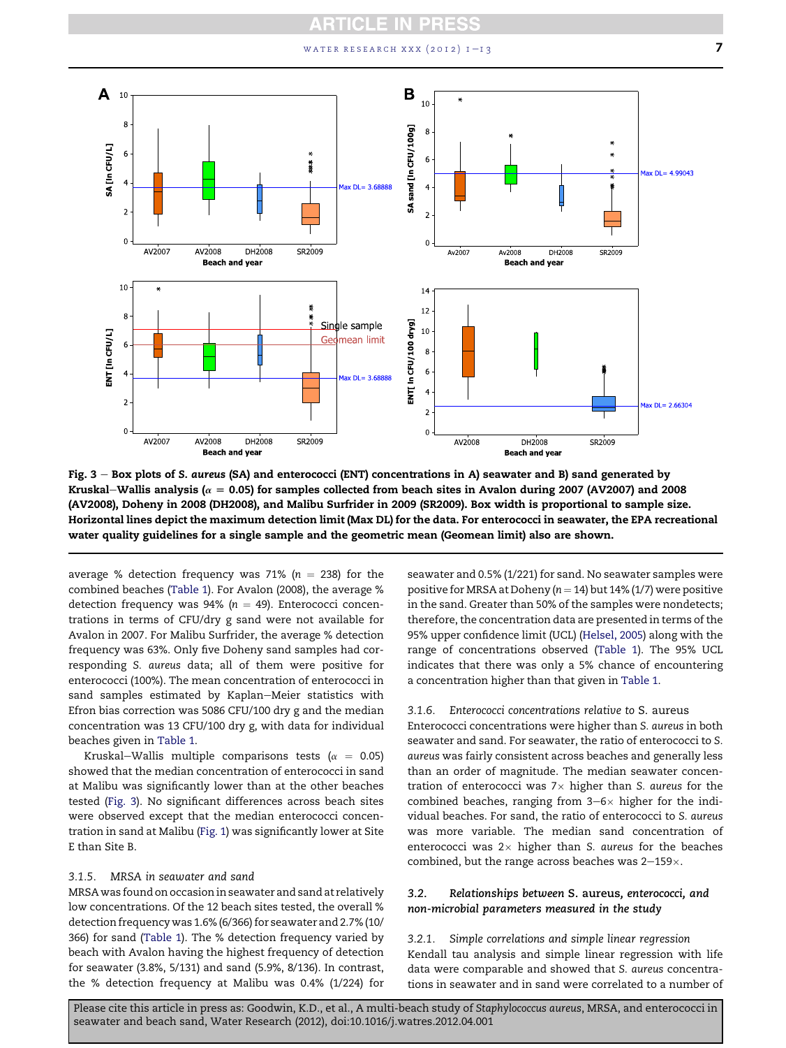# WATER RESEARCH XXX (2012)  $1-\frac{1}{3}$



Fig.  $3 - Box$  plots of S. aureus (SA) and enterococci (ENT) concentrations in A) seawater and B) sand generated by Kruskal–Wallis analysis ( $\alpha = 0.05$ ) for samples collected from beach sites in Avalon during 2007 (AV2007) and 2008 (AV2008), Doheny in 2008 (DH2008), and Malibu Surfrider in 2009 (SR2009). Box width is proportional to sample size. Horizontal lines depict the maximum detection limit (Max DL) for the data. For enterococci in seawater, the EPA recreational water quality guidelines for a single sample and the geometric mean (Geomean limit) also are shown.

average % detection frequency was 71% ( $n = 238$ ) for the combined beaches (Table 1). For Avalon (2008), the average % detection frequency was  $94\%$  ( $n = 49$ ). Enterococci concentrations in terms of CFU/dry g sand were not available for Avalon in 2007. For Malibu Surfrider, the average % detection frequency was 63%. Only five Doheny sand samples had corresponding S. aureus data; all of them were positive for enterococci (100%). The mean concentration of enterococci in sand samples estimated by Kaplan-Meier statistics with Efron bias correction was 5086 CFU/100 dry g and the median concentration was 13 CFU/100 dry g, with data for individual beaches given in Table 1.

Kruskal-Wallis multiple comparisons tests ( $\alpha = 0.05$ ) showed that the median concentration of enterococci in sand at Malibu was significantly lower than at the other beaches tested (Fig. 3). No significant differences across beach sites were observed except that the median enterococci concentration in sand at Malibu (Fig. 1) was significantly lower at Site E than Site B.

## 3.1.5. MRSA in seawater and sand

MRSA was found on occasion in seawater and sand at relatively low concentrations. Of the 12 beach sites tested, the overall % detection frequency was 1.6% (6/366) for seawater and 2.7% (10/ 366) for sand (Table 1). The % detection frequency varied by beach with Avalon having the highest frequency of detection for seawater (3.8%, 5/131) and sand (5.9%, 8/136). In contrast, the % detection frequency at Malibu was 0.4% (1/224) for seawater and 0.5% (1/221) for sand. No seawater samples were positive for MRSA at Doheny ( $n = 14$ ) but 14% (1/7) were positive in the sand. Greater than 50% of the samples were nondetects; therefore, the concentration data are presented in terms of the 95% upper confidence limit (UCL) (Helsel, 2005) along with the range of concentrations observed (Table 1). The 95% UCL indicates that there was only a 5% chance of encountering a concentration higher than that given in Table 1.

### 3.1.6. Enterococci concentrations relative to S. aureus

Enterococci concentrations were higher than S. aureus in both seawater and sand. For seawater, the ratio of enterococci to S. aureus was fairly consistent across beaches and generally less than an order of magnitude. The median seawater concentration of enterococci was  $7\times$  higher than S. aureus for the combined beaches, ranging from  $3-6\times$  higher for the individual beaches. For sand, the ratio of enterococci to S. aureus was more variable. The median sand concentration of enterococci was  $2 \times$  higher than S. aureus for the beaches combined, but the range across beaches was  $2-159\times$ .

## 3.2. Relationships between S. aureus, enterococci, and non-microbial parameters measured in the study

3.2.1. Simple correlations and simple linear regression Kendall tau analysis and simple linear regression with life data were comparable and showed that S. aureus concentrations in seawater and in sand were correlated to a number of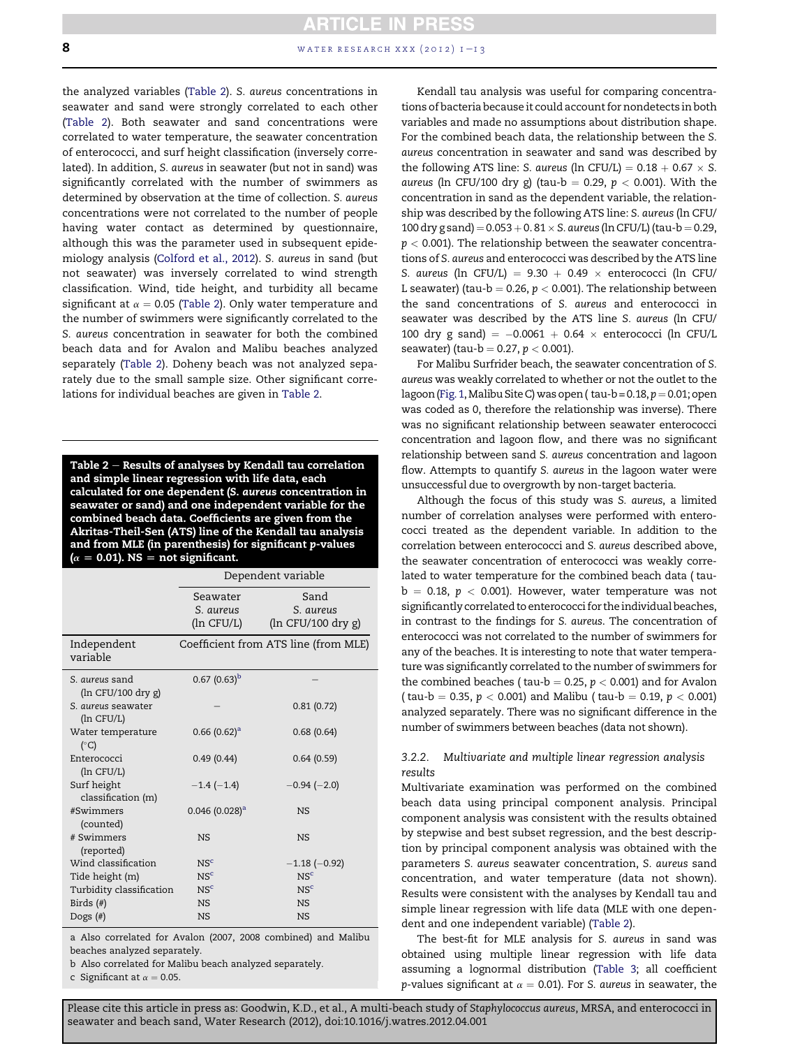**ARTICLE IN PRESS** 8 water research xxx (2012)  $1 - i$  3

the analyzed variables (Table 2). S. aureus concentrations in seawater and sand were strongly correlated to each other (Table 2). Both seawater and sand concentrations were correlated to water temperature, the seawater concentration of enterococci, and surf height classification (inversely correlated). In addition, S. aureus in seawater (but not in sand) was significantly correlated with the number of swimmers as determined by observation at the time of collection. S. aureus concentrations were not correlated to the number of people having water contact as determined by questionnaire, although this was the parameter used in subsequent epidemiology analysis (Colford et al., 2012). S. aureus in sand (but not seawater) was inversely correlated to wind strength classification. Wind, tide height, and turbidity all became significant at  $\alpha = 0.05$  (Table 2). Only water temperature and the number of swimmers were significantly correlated to the S. aureus concentration in seawater for both the combined beach data and for Avalon and Malibu beaches analyzed separately (Table 2). Doheny beach was not analyzed separately due to the small sample size. Other significant correlations for individual beaches are given in Table 2.

Table  $2$  – Results of analyses by Kendall tau correlation and simple linear regression with life data, each calculated for one dependent (S. aureus concentration in seawater or sand) and one independent variable for the combined beach data. Coefficients are given from the Akritas-Theil-Sen (ATS) line of the Kendall tau analysis and from MLE (in parenthesis) for significant p-values  $(\alpha = 0.01)$ . NS  $=$  not significant.

|                                         | Dependent variable           |                                      |  |
|-----------------------------------------|------------------------------|--------------------------------------|--|
|                                         | Seawater                     | Sand                                 |  |
|                                         | S. aureus                    | S. aureus                            |  |
|                                         | (ln CFU/L)                   | $(ln$ CFU/100 dry g)                 |  |
| Independent<br>variable                 |                              | Coefficient from ATS line (from MLE) |  |
| S. <i>aureus</i> sand                   | $0.67(0.63)^b$               |                                      |  |
| (ln CFU/100 dry g)                      |                              |                                      |  |
| S. <i>aureus</i> seawater<br>(ln CFU/L) |                              | 0.81(0.72)                           |  |
| Water temperature<br>$(^{\circ}C)$      | $0.66(0.62)^a$               | 0.68(0.64)                           |  |
| Enterococci<br>$(\ln$ CFU/L)            | 0.49(0.44)                   | 0.64(0.59)                           |  |
| Surf height<br>classification (m)       | $-1.4(-1.4)$                 | $-0.94(-2.0)$                        |  |
| #Swimmers<br>(counted)                  | $0.046$ (0.028) <sup>a</sup> | <b>NS</b>                            |  |
| # Swimmers<br>(reported)                | <b>NS</b>                    | <b>NS</b>                            |  |
| Wind classification                     | NS <sup>c</sup>              | $-1.18(-0.92)$                       |  |
| Tide height (m)                         | NS <sup>c</sup>              | NS <sup>c</sup>                      |  |
| Turbidity classification                | NS <sup>c</sup>              | NS <sup>c</sup>                      |  |
| Birds $(\#)$                            | <b>NS</b>                    | <b>NS</b>                            |  |
| Dogs $(\#)$                             | <b>NS</b>                    | <b>NS</b>                            |  |

a Also correlated for Avalon (2007, 2008 combined) and Malibu beaches analyzed separately.

b Also correlated for Malibu beach analyzed separately.

c Significant at  $\alpha = 0.05$ .

Kendall tau analysis was useful for comparing concentrations of bacteria because it could account for nondetects in both variables and made no assumptions about distribution shape. For the combined beach data, the relationship between the S. aureus concentration in seawater and sand was described by the following ATS line: S. aureus (ln CFU/L) =  $0.18 + 0.67 \times S$ . aureus (ln CFU/100 dry g) (tau-b = 0.29,  $p < 0.001$ ). With the concentration in sand as the dependent variable, the relationship was described by the following ATS line: S. aureus (ln CFU/ 100 dry g sand) =  $0.053 + 0.81 \times S$ . aureus (ln CFU/L) (tau-b = 0.29,  $p < 0.001$ ). The relationship between the seawater concentrations of S. aureus and enterococci was described by the ATS line S. aureus (ln CFU/L) = 9.30 + 0.49  $\times$  enterococci (ln CFU/ L seawater) (tau-b = 0.26,  $p < 0.001$ ). The relationship between the sand concentrations of S. aureus and enterococci in seawater was described by the ATS line S. aureus (ln CFU/ 100 dry g sand) =  $-0.0061 + 0.64 \times$  enterococci (ln CFU/L seawater) (tau-b = 0.27,  $p < 0.001$ ).

For Malibu Surfrider beach, the seawater concentration of S. aureus was weakly correlated to whether or not the outlet to the lagoon (Fig. 1, Malibu Site C) was open ( $tau$ -b = 0.18,  $p$  = 0.01; open was coded as 0, therefore the relationship was inverse). There was no significant relationship between seawater enterococci concentration and lagoon flow, and there was no significant relationship between sand S. aureus concentration and lagoon flow. Attempts to quantify S. aureus in the lagoon water were unsuccessful due to overgrowth by non-target bacteria.

Although the focus of this study was S. aureus, a limited number of correlation analyses were performed with enterococci treated as the dependent variable. In addition to the correlation between enterococci and S. aureus described above, the seawater concentration of enterococci was weakly correlated to water temperature for the combined beach data ( tau $b = 0.18$ ,  $p < 0.001$ ). However, water temperature was not significantly correlated to enterococci for the individual beaches, in contrast to the findings for S. aureus. The concentration of enterococci was not correlated to the number of swimmers for any of the beaches. It is interesting to note that water temperature was significantly correlated to the number of swimmers for the combined beaches ( tau-b = 0.25,  $p < 0.001$ ) and for Avalon ( tau-b = 0.35,  $p < 0.001$ ) and Malibu ( tau-b = 0.19,  $p < 0.001$ ) analyzed separately. There was no significant difference in the number of swimmers between beaches (data not shown).

# 3.2.2. Multivariate and multiple linear regression analysis results

Multivariate examination was performed on the combined beach data using principal component analysis. Principal component analysis was consistent with the results obtained by stepwise and best subset regression, and the best description by principal component analysis was obtained with the parameters S. aureus seawater concentration, S. aureus sand concentration, and water temperature (data not shown). Results were consistent with the analyses by Kendall tau and simple linear regression with life data (MLE with one dependent and one independent variable) (Table 2).

The best-fit for MLE analysis for S. aureus in sand was obtained using multiple linear regression with life data assuming a lognormal distribution (Table 3; all coefficient p-values significant at  $\alpha = 0.01$ ). For S. aureus in seawater, the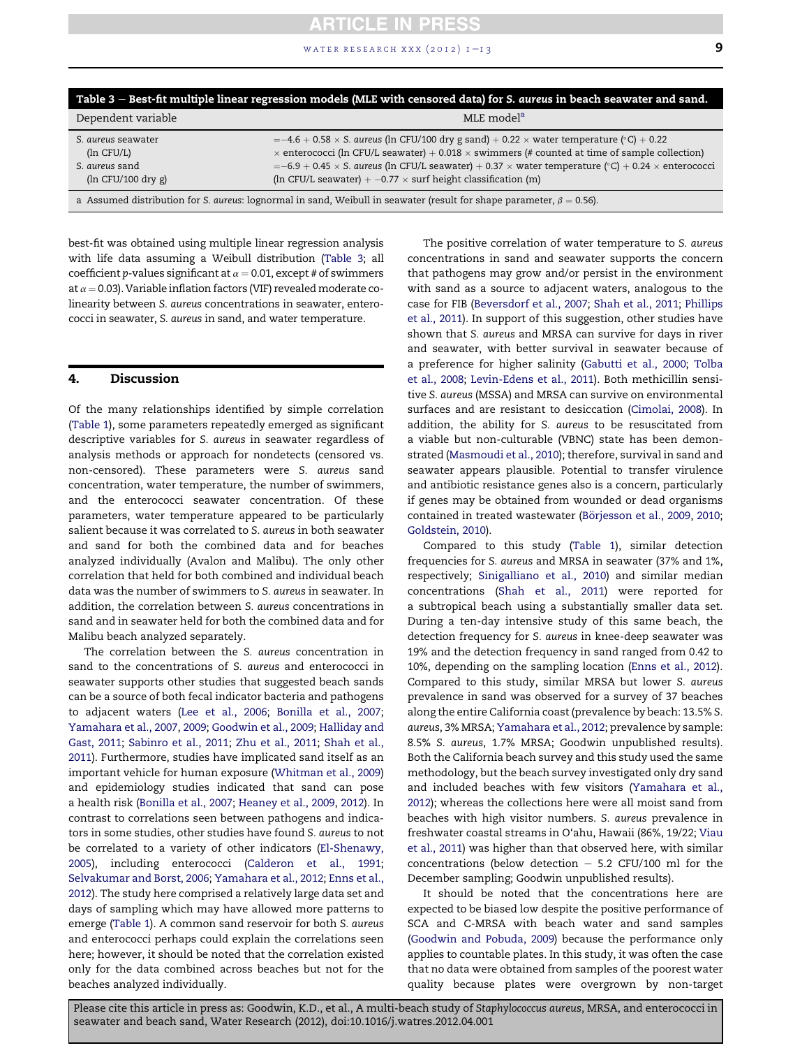### WATER RESEARCH XXX  $(2012)$   $1-\frac{1}{3}$

| Table 3 – Best-fit multiple linear regression models (MLE with censored data) for S. aureus in beach seawater and sand.     |                                                                                                                                                                                                                                                                                                                                                                                                                         |  |
|-----------------------------------------------------------------------------------------------------------------------------|-------------------------------------------------------------------------------------------------------------------------------------------------------------------------------------------------------------------------------------------------------------------------------------------------------------------------------------------------------------------------------------------------------------------------|--|
| Dependent variable                                                                                                          | MLE model <sup>a</sup>                                                                                                                                                                                                                                                                                                                                                                                                  |  |
| S. aureus seawater<br>(ln CFU/L)<br>S. aureus sand<br>$(ln$ CFU/100 dry g)                                                  | $=-4.6 + 0.58 \times S$ . aureus (ln CFU/100 dry g sand) + 0.22 $\times$ water temperature (°C) + 0.22<br>$\times$ enterococci (ln CFU/L seawater) + 0.018 $\times$ swimmers (# counted at time of sample collection)<br>$= -6.9 + 0.45 \times$ S. aureus (ln CFU/L seawater) + 0.37 $\times$ water temperature (°C) + 0.24 $\times$ enterococci<br>(In CFU/L seawater) $+ -0.77 \times$ surf height classification (m) |  |
| a Assumed distribution for S. aureus: lognormal in sand, Weibull in seawater (result for shape parameter, $\beta = 0.56$ ). |                                                                                                                                                                                                                                                                                                                                                                                                                         |  |

best-fit was obtained using multiple linear regression analysis with life data assuming a Weibull distribution (Table 3; all coefficient p-values significant at  $\alpha = 0.01$ , except # of swimmers at  $\alpha$  = 0.03). Variable inflation factors (VIF) revealed moderate colinearity between S. aureus concentrations in seawater, enterococci in seawater, S. aureus in sand, and water temperature.

# 4. Discussion

Of the many relationships identified by simple correlation (Table 1), some parameters repeatedly emerged as significant descriptive variables for S. aureus in seawater regardless of analysis methods or approach for nondetects (censored vs. non-censored). These parameters were S. aureus sand concentration, water temperature, the number of swimmers, and the enterococci seawater concentration. Of these parameters, water temperature appeared to be particularly salient because it was correlated to S. aureus in both seawater and sand for both the combined data and for beaches analyzed individually (Avalon and Malibu). The only other correlation that held for both combined and individual beach data was the number of swimmers to S. aureus in seawater. In addition, the correlation between S. aureus concentrations in sand and in seawater held for both the combined data and for Malibu beach analyzed separately.

The correlation between the S. aureus concentration in sand to the concentrations of S. aureus and enterococci in seawater supports other studies that suggested beach sands can be a source of both fecal indicator bacteria and pathogens to adjacent waters (Lee et al., 2006; Bonilla et al., 2007; Yamahara et al., 2007, 2009; Goodwin et al., 2009; Halliday and Gast, 2011; Sabinro et al., 2011; Zhu et al., 2011; Shah et al., 2011). Furthermore, studies have implicated sand itself as an important vehicle for human exposure (Whitman et al., 2009) and epidemiology studies indicated that sand can pose a health risk (Bonilla et al., 2007; Heaney et al., 2009, 2012). In contrast to correlations seen between pathogens and indicators in some studies, other studies have found S. aureus to not be correlated to a variety of other indicators (El-Shenawy, 2005), including enterococci (Calderon et al., 1991; Selvakumar and Borst, 2006; Yamahara et al., 2012; Enns et al., 2012). The study here comprised a relatively large data set and days of sampling which may have allowed more patterns to emerge (Table 1). A common sand reservoir for both S. aureus and enterococci perhaps could explain the correlations seen here; however, it should be noted that the correlation existed only for the data combined across beaches but not for the beaches analyzed individually.

The positive correlation of water temperature to S. aureus concentrations in sand and seawater supports the concern that pathogens may grow and/or persist in the environment with sand as a source to adjacent waters, analogous to the case for FIB (Beversdorf et al., 2007; Shah et al., 2011; Phillips et al., 2011). In support of this suggestion, other studies have shown that S. aureus and MRSA can survive for days in river and seawater, with better survival in seawater because of a preference for higher salinity (Gabutti et al., 2000; Tolba et al., 2008; Levin-Edens et al., 2011). Both methicillin sensitive S. aureus (MSSA) and MRSA can survive on environmental surfaces and are resistant to desiccation (Cimolai, 2008). In addition, the ability for S. aureus to be resuscitated from a viable but non-culturable (VBNC) state has been demonstrated (Masmoudi et al., 2010); therefore, survival in sand and seawater appears plausible. Potential to transfer virulence and antibiotic resistance genes also is a concern, particularly if genes may be obtained from wounded or dead organisms contained in treated wastewater (Börjesson et al., 2009, 2010; Goldstein, 2010).

Compared to this study (Table 1), similar detection frequencies for S. aureus and MRSA in seawater (37% and 1%, respectively; Sinigalliano et al., 2010) and similar median concentrations (Shah et al., 2011) were reported for a subtropical beach using a substantially smaller data set. During a ten-day intensive study of this same beach, the detection frequency for S. aureus in knee-deep seawater was 19% and the detection frequency in sand ranged from 0.42 to 10%, depending on the sampling location (Enns et al., 2012). Compared to this study, similar MRSA but lower S. aureus prevalence in sand was observed for a survey of 37 beaches along the entire California coast (prevalence by beach: 13.5% S. aureus, 3% MRSA; Yamahara et al., 2012; prevalence by sample: 8.5% S. aureus, 1.7% MRSA; Goodwin unpublished results). Both the California beach survey and this study used the same methodology, but the beach survey investigated only dry sand and included beaches with few visitors (Yamahara et al., 2012); whereas the collections here were all moist sand from beaches with high visitor numbers. S. aureus prevalence in freshwater coastal streams in O'ahu, Hawaii (86%, 19/22; Viau et al., 2011) was higher than that observed here, with similar concentrations (below detection  $-$  5.2 CFU/100 ml for the December sampling; Goodwin unpublished results).

It should be noted that the concentrations here are expected to be biased low despite the positive performance of SCA and C-MRSA with beach water and sand samples (Goodwin and Pobuda, 2009) because the performance only applies to countable plates. In this study, it was often the case that no data were obtained from samples of the poorest water quality because plates were overgrown by non-target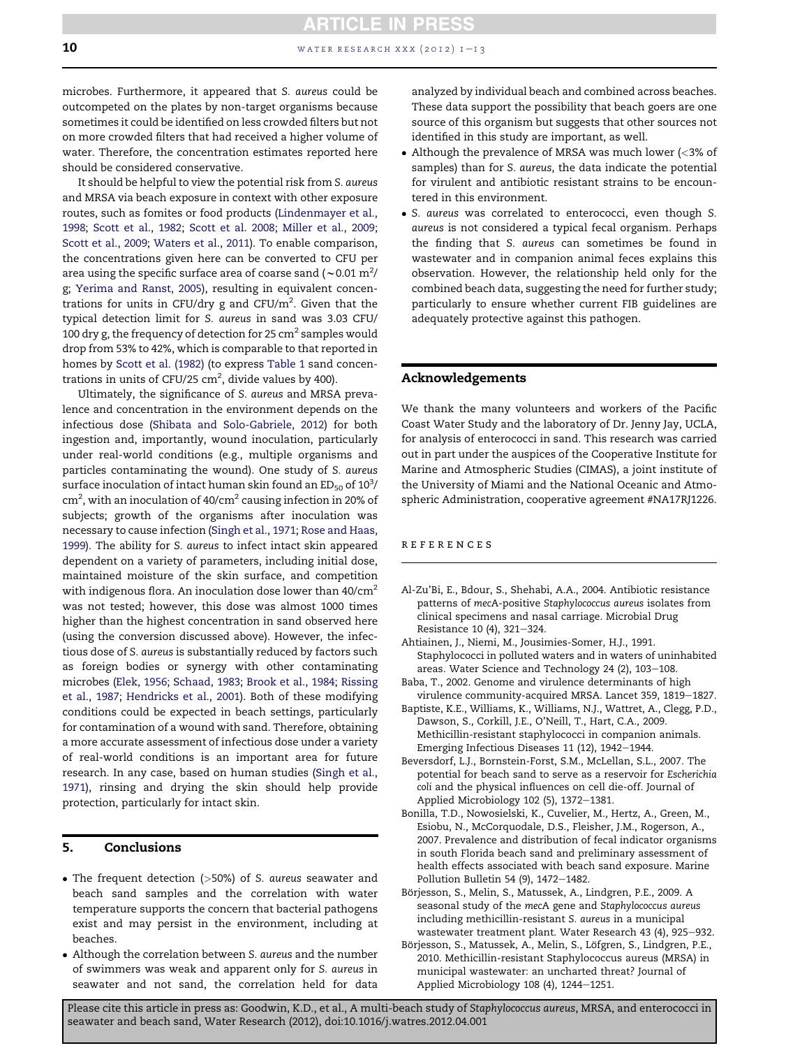# **ARTICLE IN PRESS 10** water research xxx (2012)  $1 - 13$

microbes. Furthermore, it appeared that S. aureus could be outcompeted on the plates by non-target organisms because sometimes it could be identified on less crowded filters but not on more crowded filters that had received a higher volume of water. Therefore, the concentration estimates reported here should be considered conservative.

It should be helpful to view the potential risk from S. aureus and MRSA via beach exposure in context with other exposure routes, such as fomites or food products (Lindenmayer et al., 1998; Scott et al., 1982; Scott et al. 2008; Miller et al., 2009; Scott et al., 2009; Waters et al., 2011). To enable comparison, the concentrations given here can be converted to CFU per area using the specific surface area of coarse sand (~0.01  $\mathrm{m}^2/\mathrm{}$ g; Yerima and Ranst, 2005), resulting in equivalent concentrations for units in CFU/dry g and CFU/ $m^2$ . Given that the typical detection limit for S. aureus in sand was 3.03 CFU/ 100 dry g, the frequency of detection for 25  $cm<sup>2</sup>$  samples would drop from 53% to 42%, which is comparable to that reported in homes by Scott et al. (1982) (to express Table 1 sand concentrations in units of CFU/25  $\text{cm}^2$ , divide values by 400).

Ultimately, the significance of S. aureus and MRSA prevalence and concentration in the environment depends on the infectious dose (Shibata and Solo-Gabriele, 2012) for both ingestion and, importantly, wound inoculation, particularly under real-world conditions (e.g., multiple organisms and particles contaminating the wound). One study of S. aureus surface inoculation of intact human skin found an ED $_{50}$  of 10 $^3\prime$ cm<sup>2</sup>, with an inoculation of 40/cm<sup>2</sup> causing infection in 20% of subjects; growth of the organisms after inoculation was necessary to cause infection (Singh et al., 1971; Rose and Haas, 1999). The ability for S. aureus to infect intact skin appeared dependent on a variety of parameters, including initial dose, maintained moisture of the skin surface, and competition with indigenous flora. An inoculation dose lower than  $40/cm<sup>2</sup>$ was not tested; however, this dose was almost 1000 times higher than the highest concentration in sand observed here (using the conversion discussed above). However, the infectious dose of S. aureus is substantially reduced by factors such as foreign bodies or synergy with other contaminating microbes (Elek, 1956; Schaad, 1983; Brook et al., 1984; Rissing et al., 1987; Hendricks et al., 2001). Both of these modifying conditions could be expected in beach settings, particularly for contamination of a wound with sand. Therefore, obtaining a more accurate assessment of infectious dose under a variety of real-world conditions is an important area for future research. In any case, based on human studies (Singh et al., 1971), rinsing and drying the skin should help provide protection, particularly for intact skin.

# 5. Conclusions

- The frequent detection (>50%) of S. aureus seawater and beach sand samples and the correlation with water temperature supports the concern that bacterial pathogens exist and may persist in the environment, including at beaches.
- Although the correlation between S. aureus and the number of swimmers was weak and apparent only for S. aureus in seawater and not sand, the correlation held for data

analyzed by individual beach and combined across beaches. These data support the possibility that beach goers are one source of this organism but suggests that other sources not identified in this study are important, as well.

- Although the prevalence of MRSA was much lower (<3% of samples) than for S. aureus, the data indicate the potential for virulent and antibiotic resistant strains to be encountered in this environment.
- S. aureus was correlated to enterococci, even though S. aureus is not considered a typical fecal organism. Perhaps the finding that S. aureus can sometimes be found in wastewater and in companion animal feces explains this observation. However, the relationship held only for the combined beach data, suggesting the need for further study; particularly to ensure whether current FIB guidelines are adequately protective against this pathogen.

# Acknowledgements

We thank the many volunteers and workers of the Pacific Coast Water Study and the laboratory of Dr. Jenny Jay, UCLA, for analysis of enterococci in sand. This research was carried out in part under the auspices of the Cooperative Institute for Marine and Atmospheric Studies (CIMAS), a joint institute of the University of Miami and the National Oceanic and Atmospheric Administration, cooperative agreement #NA17RJ1226.

## references

- Al-Zu'Bi, E., Bdour, S., Shehabi, A.A., 2004. Antibiotic resistance patterns of mecA-positive Staphylococcus aureus isolates from clinical specimens and nasal carriage. Microbial Drug Resistance 10 (4), 321-324.
- Ahtiainen, J., Niemi, M., Jousimies-Somer, H.J., 1991. Staphylococci in polluted waters and in waters of uninhabited areas. Water Science and Technology 24 (2), 103-108.
- Baba, T., 2002. Genome and virulence determinants of high virulence community-acquired MRSA. Lancet 359, 1819-1827.
- Baptiste, K.E., Williams, K., Williams, N.J., Wattret, A., Clegg, P.D., Dawson, S., Corkill, J.E., O'Neill, T., Hart, C.A., 2009. Methicillin-resistant staphylococci in companion animals. Emerging Infectious Diseases 11 (12), 1942-1944.
- Beversdorf, L.J., Bornstein-Forst, S.M., McLellan, S.L., 2007. The potential for beach sand to serve as a reservoir for Escherichia coli and the physical influences on cell die-off. Journal of Applied Microbiology 102 (5), 1372-1381.
- Bonilla, T.D., Nowosielski, K., Cuvelier, M., Hertz, A., Green, M., Esiobu, N., McCorquodale, D.S., Fleisher, J.M., Rogerson, A., 2007. Prevalence and distribution of fecal indicator organisms in south Florida beach sand and preliminary assessment of health effects associated with beach sand exposure. Marine Pollution Bulletin 54 (9), 1472-1482.
- Börjesson, S., Melin, S., Matussek, A., Lindgren, P.E., 2009. A seasonal study of the mecA gene and Staphylococcus aureus including methicillin-resistant S. aureus in a municipal wastewater treatment plant. Water Research 43 (4), 925-932.
- Börjesson, S., Matussek, A., Melin, S., Löfgren, S., Lindgren, P.E., 2010. Methicillin-resistant Staphylococcus aureus (MRSA) in municipal wastewater: an uncharted threat? Journal of Applied Microbiology 108 (4), 1244-1251.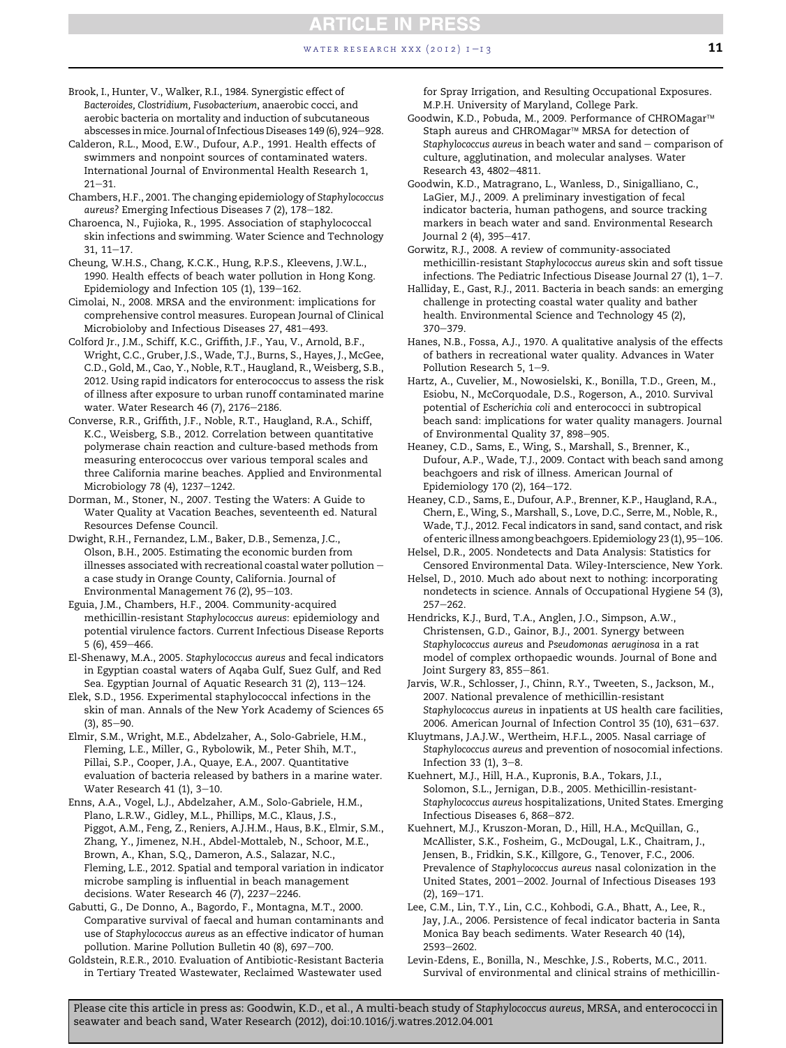#### Brook, I., Hunter, V., Walker, R.I., 1984. Synergistic effect of Bacteroides, Clostridium, Fusobacterium, anaerobic cocci, and aerobic bacteria on mortality and induction of subcutaneous abscesses in mice. Journal of Infectious Diseases 149 (6), 924-928.

Calderon, R.L., Mood, E.W., Dufour, A.P., 1991. Health effects of swimmers and nonpoint sources of contaminated waters. International Journal of Environmental Health Research 1,  $21 - 31$ .

Chambers, H.F., 2001. The changing epidemiology of Staphylococcus aureus? Emerging Infectious Diseases 7 (2), 178-182.

Charoenca, N., Fujioka, R., 1995. Association of staphylococcal skin infections and swimming. Water Science and Technology  $31.11 - 17.$ 

Cheung, W.H.S., Chang, K.C.K., Hung, R.P.S., Kleevens, J.W.L., 1990. Health effects of beach water pollution in Hong Kong. Epidemiology and Infection  $105$  (1),  $139-162$ .

Cimolai, N., 2008. MRSA and the environment: implications for comprehensive control measures. European Journal of Clinical Microbioloby and Infectious Diseases 27, 481-493.

Colford Jr., J.M., Schiff, K.C., Griffith, J.F., Yau, V., Arnold, B.F., Wright, C.C., Gruber, J.S., Wade, T.J., Burns, S., Hayes, J., McGee, C.D., Gold, M., Cao, Y., Noble, R.T., Haugland, R., Weisberg, S.B., 2012. Using rapid indicators for enterococcus to assess the risk of illness after exposure to urban runoff contaminated marine water. Water Research 46 (7), 2176-2186.

Converse, R.R., Griffith, J.F., Noble, R.T., Haugland, R.A., Schiff, K.C., Weisberg, S.B., 2012. Correlation between quantitative polymerase chain reaction and culture-based methods from measuring enterococcus over various temporal scales and three California marine beaches. Applied and Environmental Microbiology 78 (4), 1237-1242.

Dorman, M., Stoner, N., 2007. Testing the Waters: A Guide to Water Quality at Vacation Beaches, seventeenth ed. Natural Resources Defense Council.

Dwight, R.H., Fernandez, L.M., Baker, D.B., Semenza, J.C., Olson, B.H., 2005. Estimating the economic burden from illnesses associated with recreational coastal water pollution  $$ a case study in Orange County, California. Journal of Environmental Management 76 (2), 95-103.

Eguia, J.M., Chambers, H.F., 2004. Community-acquired methicillin-resistant Staphylococcus aureus: epidemiology and potential virulence factors. Current Infectious Disease Reports  $5(6)$ , 459-466.

El-Shenawy, M.A., 2005. Staphylococcus aureus and fecal indicators in Egyptian coastal waters of Aqaba Gulf, Suez Gulf, and Red Sea. Egyptian Journal of Aquatic Research 31 (2), 113-124.

Elek, S.D., 1956. Experimental staphylococcal infections in the skin of man. Annals of the New York Academy of Sciences 65  $(3), 85 - 90.$ 

Elmir, S.M., Wright, M.E., Abdelzaher, A., Solo-Gabriele, H.M., Fleming, L.E., Miller, G., Rybolowik, M., Peter Shih, M.T., Pillai, S.P., Cooper, J.A., Quaye, E.A., 2007. Quantitative evaluation of bacteria released by bathers in a marine water. Water Research 41 (1),  $3-10$ .

Enns, A.A., Vogel, L.J., Abdelzaher, A.M., Solo-Gabriele, H.M., Plano, L.R.W., Gidley, M.L., Phillips, M.C., Klaus, J.S., Piggot, A.M., Feng, Z., Reniers, A.J.H.M., Haus, B.K., Elmir, S.M., Zhang, Y., Jimenez, N.H., Abdel-Mottaleb, N., Schoor, M.E., Brown, A., Khan, S.Q., Dameron, A.S., Salazar, N.C., Fleming, L.E., 2012. Spatial and temporal variation in indicator microbe sampling is influential in beach management decisions. Water Research 46 (7),  $2237-2246$ .

Gabutti, G., De Donno, A., Bagordo, F., Montagna, M.T., 2000. Comparative survival of faecal and human contaminants and use of Staphylococcus aureus as an effective indicator of human pollution. Marine Pollution Bulletin 40 (8), 697-700.

Goldstein, R.E.R., 2010. Evaluation of Antibiotic-Resistant Bacteria in Tertiary Treated Wastewater, Reclaimed Wastewater used

for Spray Irrigation, and Resulting Occupational Exposures. M.P.H. University of Maryland, College Park.

**ARTICLE IN PRESS** 

Goodwin, K.D., Pobuda, M., 2009. Performance of CHROMagar Staph aureus and CHROMagar<sup>™</sup> MRSA for detection of Staphylococcus aureus in beach water and  $s$ and  $-$  comparison of culture, agglutination, and molecular analyses. Water Research 43, 4802-4811.

Goodwin, K.D., Matragrano, L., Wanless, D., Sinigalliano, C., LaGier, M.J., 2009. A preliminary investigation of fecal indicator bacteria, human pathogens, and source tracking markers in beach water and sand. Environmental Research Journal 2 (4), 395-417.

Gorwitz, R.J., 2008. A review of community-associated methicillin-resistant Staphylococcus aureus skin and soft tissue infections. The Pediatric Infectious Disease Journal 27 (1),  $1-7$ .

Halliday, E., Gast, R.J., 2011. Bacteria in beach sands: an emerging challenge in protecting coastal water quality and bather health. Environmental Science and Technology 45 (2),  $370 - 379.$ 

Hanes, N.B., Fossa, A.J., 1970. A qualitative analysis of the effects of bathers in recreational water quality. Advances in Water Pollution Research 5, 1-9.

Hartz, A., Cuvelier, M., Nowosielski, K., Bonilla, T.D., Green, M., Esiobu, N., McCorquodale, D.S., Rogerson, A., 2010. Survival potential of Escherichia coli and enterococci in subtropical beach sand: implications for water quality managers. Journal of Environmental Quality 37, 898-905.

Heaney, C.D., Sams, E., Wing, S., Marshall, S., Brenner, K., Dufour, A.P., Wade, T.J., 2009. Contact with beach sand among beachgoers and risk of illness. American Journal of Epidemiology 170 (2), 164-172.

Heaney, C.D., Sams, E., Dufour, A.P., Brenner, K.P., Haugland, R.A., Chern, E., Wing, S., Marshall, S., Love, D.C., Serre, M., Noble, R., Wade, T.J., 2012. Fecal indicators in sand, sand contact, and risk of enteric illness among beachgoers. Epidemiology 23 (1), 95-106.

Helsel, D.R., 2005. Nondetects and Data Analysis: Statistics for Censored Environmental Data. Wiley-Interscience, New York.

Helsel, D., 2010. Much ado about next to nothing: incorporating nondetects in science. Annals of Occupational Hygiene 54 (3),  $257 - 262$ .

Hendricks, K.J., Burd, T.A., Anglen, J.O., Simpson, A.W., Christensen, G.D., Gainor, B.J., 2001. Synergy between Staphylococcus aureus and Pseudomonas aeruginosa in a rat model of complex orthopaedic wounds. Journal of Bone and Joint Surgery 83, 855-861.

Jarvis, W.R., Schlosser, J., Chinn, R.Y., Tweeten, S., Jackson, M., 2007. National prevalence of methicillin-resistant Staphylococcus aureus in inpatients at US health care facilities, 2006. American Journal of Infection Control 35 (10), 631-637.

Kluytmans, J.A.J.W., Wertheim, H.F.L., 2005. Nasal carriage of Staphylococcus aureus and prevention of nosocomial infections. Infection 33  $(1)$ , 3-8.

Kuehnert, M.J., Hill, H.A., Kupronis, B.A., Tokars, J.I., Solomon, S.L., Jernigan, D.B., 2005. Methicillin-resistant-Staphylococcus aureus hospitalizations, United States. Emerging Infectious Diseases 6, 868-872.

Kuehnert, M.J., Kruszon-Moran, D., Hill, H.A., McQuillan, G., McAllister, S.K., Fosheim, G., McDougal, L.K., Chaitram, J., Jensen, B., Fridkin, S.K., Killgore, G., Tenover, F.C., 2006. Prevalence of Staphylococcus aureus nasal colonization in the United States, 2001-2002. Journal of Infectious Diseases 193  $(2)$ , 169-171.

Lee, C.M., Lin, T.Y., Lin, C.C., Kohbodi, G.A., Bhatt, A., Lee, R., Jay, J.A., 2006. Persistence of fecal indicator bacteria in Santa Monica Bay beach sediments. Water Research 40 (14), 2593-2602.

Levin-Edens, E., Bonilla, N., Meschke, J.S., Roberts, M.C., 2011. Survival of environmental and clinical strains of methicillin-

WATER RESEARCH XXX (2012)  $1-\frac{13}{11}$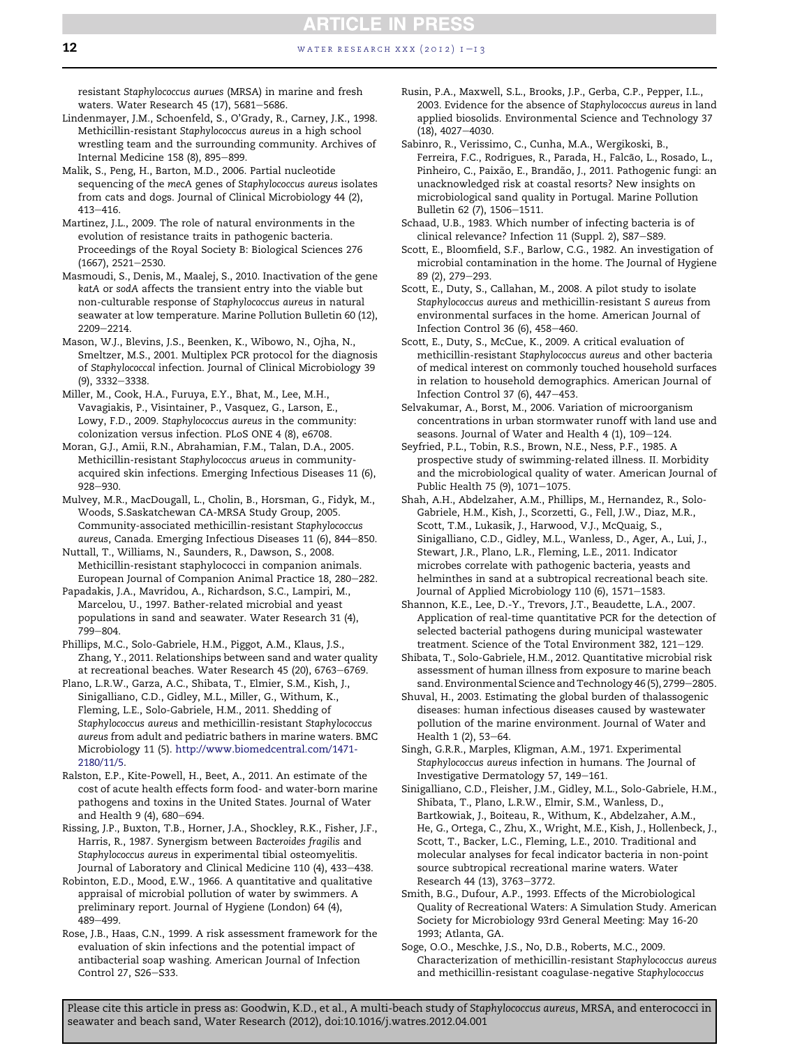**12** water research xxx (2012)  $1 - 13$ 

resistant Staphylococcus aurues (MRSA) in marine and fresh waters. Water Research 45 (17), 5681-5686.

- Lindenmayer, J.M., Schoenfeld, S., O'Grady, R., Carney, J.K., 1998. Methicillin-resistant Staphylococcus aureus in a high school wrestling team and the surrounding community. Archives of Internal Medicine 158 (8), 895-899.
- Malik, S., Peng, H., Barton, M.D., 2006. Partial nucleotide sequencing of the mecA genes of Staphylococcus aureus isolates from cats and dogs. Journal of Clinical Microbiology 44 (2), 413-416.
- Martinez, J.L., 2009. The role of natural environments in the evolution of resistance traits in pathogenic bacteria. Proceedings of the Royal Society B: Biological Sciences 276  $(1667), 2521 - 2530.$
- Masmoudi, S., Denis, M., Maalej, S., 2010. Inactivation of the gene katA or sodA affects the transient entry into the viable but non-culturable response of Staphylococcus aureus in natural seawater at low temperature. Marine Pollution Bulletin 60 (12), 2209-2214.
- Mason, W.J., Blevins, J.S., Beenken, K., Wibowo, N., Ojha, N., Smeltzer, M.S., 2001. Multiplex PCR protocol for the diagnosis of Staphylococcal infection. Journal of Clinical Microbiology 39  $(9)$ , 3332-3338.
- Miller, M., Cook, H.A., Furuya, E.Y., Bhat, M., Lee, M.H., Vavagiakis, P., Visintainer, P., Vasquez, G., Larson, E., Lowy, F.D., 2009. Staphylococcus aureus in the community: colonization versus infection. PLoS ONE 4 (8), e6708.
- Moran, G.J., Amii, R.N., Abrahamian, F.M., Talan, D.A., 2005. Methicillin-resistant Staphylococcus arueus in communityacquired skin infections. Emerging Infectious Diseases 11 (6), 928-930.
- Mulvey, M.R., MacDougall, L., Cholin, B., Horsman, G., Fidyk, M., Woods, S.Saskatchewan CA-MRSA Study Group, 2005. Community-associated methicillin-resistant Staphylococcus aureus, Canada. Emerging Infectious Diseases 11 (6), 844-850.
- Nuttall, T., Williams, N., Saunders, R., Dawson, S., 2008. Methicillin-resistant staphylococci in companion animals. European Journal of Companion Animal Practice 18, 280-282.
- Papadakis, J.A., Mavridou, A., Richardson, S.C., Lampiri, M., Marcelou, U., 1997. Bather-related microbial and yeast populations in sand and seawater. Water Research 31 (4), 799-804.
- Phillips, M.C., Solo-Gabriele, H.M., Piggot, A.M., Klaus, J.S., Zhang, Y., 2011. Relationships between sand and water quality at recreational beaches. Water Research 45 (20), 6763-6769.
- Plano, L.R.W., Garza, A.C., Shibata, T., Elmier, S.M., Kish, J., Sinigalliano, C.D., Gidley, M.L., Miller, G., Withum, K., Fleming, L.E., Solo-Gabriele, H.M., 2011. Shedding of Staphylococcus aureus and methicillin-resistant Staphylococcus aureus from adult and pediatric bathers in marine waters. BMC Microbiology 11 (5). [http://www.biomedcentral.com/1471-](http://www.biomedcentral.com/1471-2180/11/5) [2180/11/5.](http://www.biomedcentral.com/1471-2180/11/5)
- Ralston, E.P., Kite-Powell, H., Beet, A., 2011. An estimate of the cost of acute health effects form food- and water-born marine pathogens and toxins in the United States. Journal of Water and Health 9 (4), 680-694.
- Rissing, J.P., Buxton, T.B., Horner, J.A., Shockley, R.K., Fisher, J.F., Harris, R., 1987. Synergism between Bacteroides fragilis and Staphylococcus aureus in experimental tibial osteomyelitis. Journal of Laboratory and Clinical Medicine 110 (4), 433-438.
- Robinton, E.D., Mood, E.W., 1966. A quantitative and qualitative appraisal of microbial pollution of water by swimmers. A preliminary report. Journal of Hygiene (London) 64 (4), 489-499.
- Rose, J.B., Haas, C.N., 1999. A risk assessment framework for the evaluation of skin infections and the potential impact of antibacterial soap washing. American Journal of Infection Control 27, S26-S33.
- Rusin, P.A., Maxwell, S.L., Brooks, J.P., Gerba, C.P., Pepper, I.L., 2003. Evidence for the absence of Staphylococcus aureus in land applied biosolids. Environmental Science and Technology 37  $(18), 4027 - 4030.$
- Sabinro, R., Verissimo, C., Cunha, M.A., Wergikoski, B., Ferreira, F.C., Rodrigues, R., Parada, H., Falcão, L., Rosado, L., Pinheiro, C., Paixão, E., Brandão, J., 2011. Pathogenic fungi: an unacknowledged risk at coastal resorts? New insights on microbiological sand quality in Portugal. Marine Pollution Bulletin 62 (7), 1506-1511.
- Schaad, U.B., 1983. Which number of infecting bacteria is of clinical relevance? Infection 11 (Suppl. 2), S87-S89.
- Scott, E., Bloomfield, S.F., Barlow, C.G., 1982. An investigation of microbial contamination in the home. The Journal of Hygiene 89 (2), 279-293.
- Scott, E., Duty, S., Callahan, M., 2008. A pilot study to isolate Staphylococcus aureus and methicillin-resistant S aureus from environmental surfaces in the home. American Journal of Infection Control 36 (6),  $458-460$ .
- Scott, E., Duty, S., McCue, K., 2009. A critical evaluation of methicillin-resistant Staphylococcus aureus and other bacteria of medical interest on commonly touched household surfaces in relation to household demographics. American Journal of Infection Control 37 (6),  $447-453$ .
- Selvakumar, A., Borst, M., 2006. Variation of microorganism concentrations in urban stormwater runoff with land use and seasons. Journal of Water and Health 4 (1), 109-124.
- Seyfried, P.L., Tobin, R.S., Brown, N.E., Ness, P.F., 1985. A prospective study of swimming-related illness. II. Morbidity and the microbiological quality of water. American Journal of Public Health 75 (9), 1071-1075.
- Shah, A.H., Abdelzaher, A.M., Phillips, M., Hernandez, R., Solo-Gabriele, H.M., Kish, J., Scorzetti, G., Fell, J.W., Diaz, M.R., Scott, T.M., Lukasik, J., Harwood, V.J., McQuaig, S., Sinigalliano, C.D., Gidley, M.L., Wanless, D., Ager, A., Lui, J., Stewart, J.R., Plano, L.R., Fleming, L.E., 2011. Indicator microbes correlate with pathogenic bacteria, yeasts and helminthes in sand at a subtropical recreational beach site. Journal of Applied Microbiology 110 (6), 1571-1583.
- Shannon, K.E., Lee, D.-Y., Trevors, J.T., Beaudette, L.A., 2007. Application of real-time quantitative PCR for the detection of selected bacterial pathogens during municipal wastewater treatment. Science of the Total Environment 382, 121-129.
- Shibata, T., Solo-Gabriele, H.M., 2012. Quantitative microbial risk assessment of human illness from exposure to marine beach sand. Environmental Science and Technology 46 (5), 2799-2805.
- Shuval, H., 2003. Estimating the global burden of thalassogenic diseases: human infectious diseases caused by wastewater pollution of the marine environment. Journal of Water and Health 1 (2), 53-64.
- Singh, G.R.R., Marples, Kligman, A.M., 1971. Experimental Staphylococcus aureus infection in humans. The Journal of Investigative Dermatology 57, 149-161.
- Sinigalliano, C.D., Fleisher, J.M., Gidley, M.L., Solo-Gabriele, H.M., Shibata, T., Plano, L.R.W., Elmir, S.M., Wanless, D., Bartkowiak, J., Boiteau, R., Withum, K., Abdelzaher, A.M., He, G., Ortega, C., Zhu, X., Wright, M.E., Kish, J., Hollenbeck, J., Scott, T., Backer, L.C., Fleming, L.E., 2010. Traditional and molecular analyses for fecal indicator bacteria in non-point source subtropical recreational marine waters. Water Research 44 (13), 3763-3772.
- Smith, B.G., Dufour, A.P., 1993. Effects of the Microbiological Quality of Recreational Waters: A Simulation Study. American Society for Microbiology 93rd General Meeting: May 16-20 1993; Atlanta, GA.
- Soge, O.O., Meschke, J.S., No, D.B., Roberts, M.C., 2009. Characterization of methicillin-resistant Staphylococcus aureus and methicillin-resistant coagulase-negative Staphylococcus